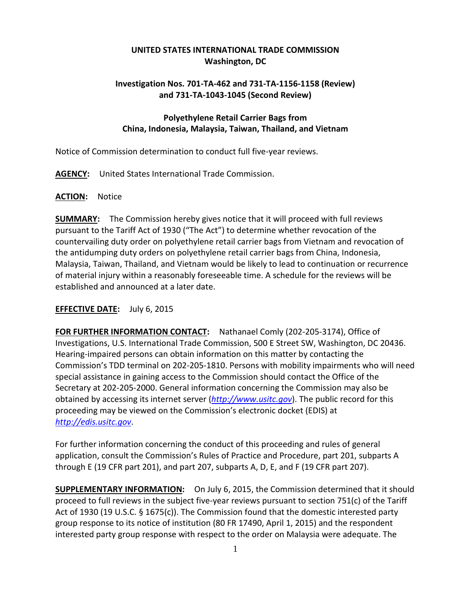# **UNITED STATES INTERNATIONAL TRADE COMMISSION Washington, DC**

# **Investigation Nos. 701-TA-462 and 731-TA-1156-1158 (Review) and 731-TA-1043-1045 (Second Review)**

# **Polyethylene Retail Carrier Bags from China, Indonesia, Malaysia, Taiwan, Thailand, and Vietnam**

Notice of Commission determination to conduct full five-year reviews.

**AGENCY:** United States International Trade Commission.

#### **ACTION:** Notice

**SUMMARY:** The Commission hereby gives notice that it will proceed with full reviews pursuant to the Tariff Act of 1930 ("The Act") to determine whether revocation of the countervailing duty order on polyethylene retail carrier bags from Vietnam and revocation of the antidumping duty orders on polyethylene retail carrier bags from China, Indonesia, Malaysia, Taiwan, Thailand, and Vietnam would be likely to lead to continuation or recurrence of material injury within a reasonably foreseeable time. A schedule for the reviews will be established and announced at a later date.

#### **EFFECTIVE DATE:** July 6, 2015

**FOR FURTHER INFORMATION CONTACT:** Nathanael Comly (202-205-3174), Office of Investigations, U.S. International Trade Commission, 500 E Street SW, Washington, DC 20436. Hearing-impaired persons can obtain information on this matter by contacting the Commission's TDD terminal on 202-205-1810. Persons with mobility impairments who will need special assistance in gaining access to the Commission should contact the Office of the Secretary at 202-205-2000. General information concerning the Commission may also be obtained by accessing its internet server (*[http://www.usitc.gov](http://www.usitc.gov/)*). The public record for this proceeding may be viewed on the Commission's electronic docket (EDIS) at *[http://edis.usitc.gov](http://edis.usitc.gov/)*.

For further information concerning the conduct of this proceeding and rules of general application, consult the Commission's Rules of Practice and Procedure, part 201, subparts A through E (19 CFR part 201), and part 207, subparts A, D, E, and F (19 CFR part 207).

**SUPPLEMENTARY INFORMATION:** On July 6, 2015, the Commission determined that it should proceed to full reviews in the subject five-year reviews pursuant to section 751(c) of the Tariff Act of 1930 (19 U.S.C. § 1675(c)). The Commission found that the domestic interested party group response to its notice of institution (80 FR 17490, April 1, 2015) and the respondent interested party group response with respect to the order on Malaysia were adequate. The